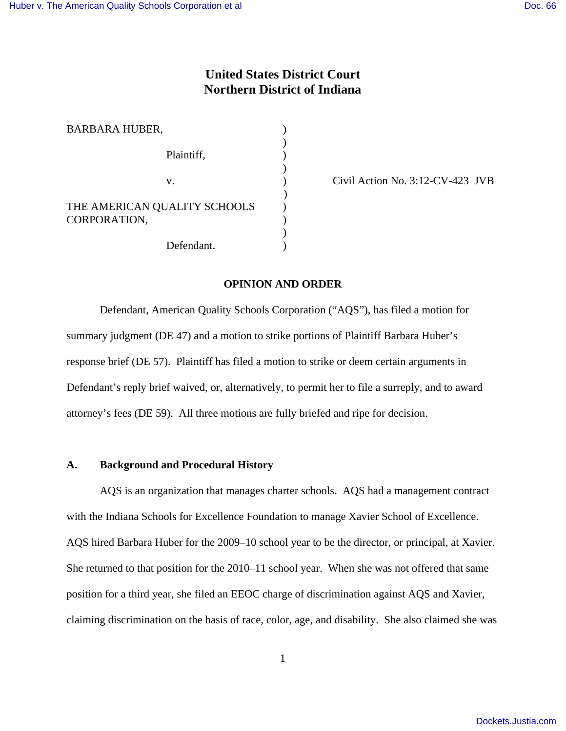# **United States District Court Northern District of Indiana**

| <b>BARBARA HUBER,</b>                        |  |
|----------------------------------------------|--|
| Plaintiff,                                   |  |
| V.                                           |  |
| THE AMERICAN QUALITY SCHOOLS<br>CORPORATION, |  |
| Defendant.                                   |  |

 $\text{Civil Action No. } 3:12\text{-CV-}423 \text{ JVB}$ 

### **OPINION AND ORDER**

Defendant, American Quality Schools Corporation ("AQS"), has filed a motion for summary judgment (DE 47) and a motion to strike portions of Plaintiff Barbara Huber's response brief (DE 57). Plaintiff has filed a motion to strike or deem certain arguments in Defendant's reply brief waived, or, alternatively, to permit her to file a surreply, and to award attorney's fees (DE 59). All three motions are fully briefed and ripe for decision.

#### **A. Background and Procedural History**

AQS is an organization that manages charter schools. AQS had a management contract with the Indiana Schools for Excellence Foundation to manage Xavier School of Excellence. AQS hired Barbara Huber for the 2009–10 school year to be the director, or principal, at Xavier. She returned to that position for the 2010–11 school year. When she was not offered that same position for a third year, she filed an EEOC charge of discrimination against AQS and Xavier, claiming discrimination on the basis of race, color, age, and disability. She also claimed she was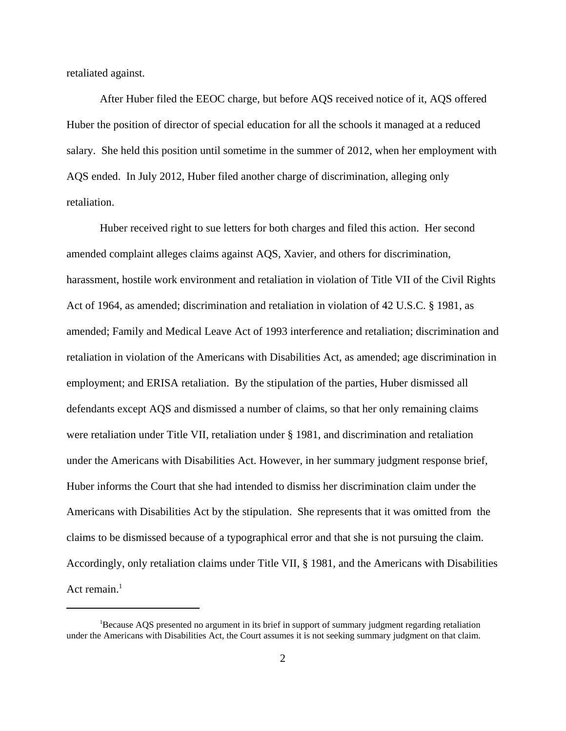retaliated against.

After Huber filed the EEOC charge, but before AQS received notice of it, AQS offered Huber the position of director of special education for all the schools it managed at a reduced salary. She held this position until sometime in the summer of 2012, when her employment with AQS ended. In July 2012, Huber filed another charge of discrimination, alleging only retaliation.

Huber received right to sue letters for both charges and filed this action. Her second amended complaint alleges claims against AQS, Xavier, and others for discrimination, harassment, hostile work environment and retaliation in violation of Title VII of the Civil Rights Act of 1964, as amended; discrimination and retaliation in violation of 42 U.S.C. § 1981, as amended; Family and Medical Leave Act of 1993 interference and retaliation; discrimination and retaliation in violation of the Americans with Disabilities Act, as amended; age discrimination in employment; and ERISA retaliation. By the stipulation of the parties, Huber dismissed all defendants except AQS and dismissed a number of claims, so that her only remaining claims were retaliation under Title VII, retaliation under § 1981, and discrimination and retaliation under the Americans with Disabilities Act. However, in her summary judgment response brief, Huber informs the Court that she had intended to dismiss her discrimination claim under the Americans with Disabilities Act by the stipulation. She represents that it was omitted from the claims to be dismissed because of a typographical error and that she is not pursuing the claim. Accordingly, only retaliation claims under Title VII, § 1981, and the Americans with Disabilities Act remain. $<sup>1</sup>$ </sup>

<sup>&</sup>lt;sup>1</sup>Because AQS presented no argument in its brief in support of summary judgment regarding retaliation under the Americans with Disabilities Act, the Court assumes it is not seeking summary judgment on that claim.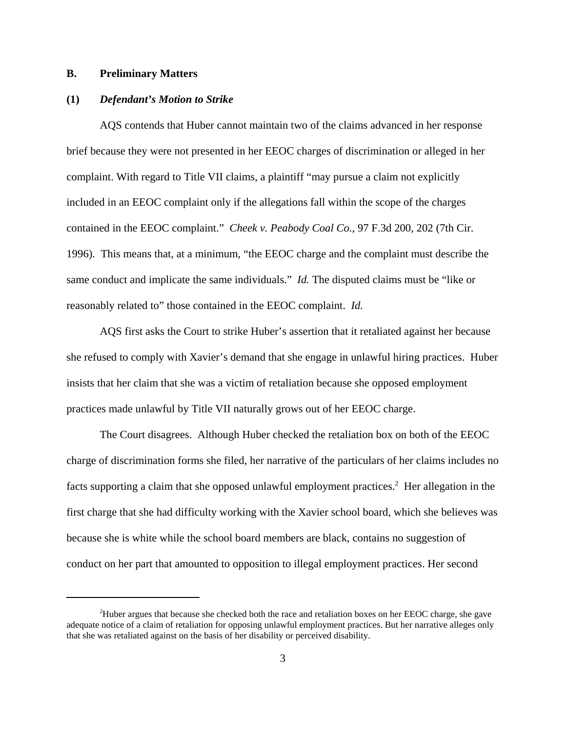## **B. Preliminary Matters**

#### **(1)** *Defendant's Motion to Strike*

AQS contends that Huber cannot maintain two of the claims advanced in her response brief because they were not presented in her EEOC charges of discrimination or alleged in her complaint. With regard to Title VII claims, a plaintiff "may pursue a claim not explicitly included in an EEOC complaint only if the allegations fall within the scope of the charges contained in the EEOC complaint." *Cheek v. Peabody Coal Co.*, 97 F.3d 200, 202 (7th Cir. 1996). This means that, at a minimum, "the EEOC charge and the complaint must describe the same conduct and implicate the same individuals." *Id.* The disputed claims must be "like or reasonably related to" those contained in the EEOC complaint. *Id.*

AQS first asks the Court to strike Huber's assertion that it retaliated against her because she refused to comply with Xavier's demand that she engage in unlawful hiring practices. Huber insists that her claim that she was a victim of retaliation because she opposed employment practices made unlawful by Title VII naturally grows out of her EEOC charge.

The Court disagrees. Although Huber checked the retaliation box on both of the EEOC charge of discrimination forms she filed, her narrative of the particulars of her claims includes no facts supporting a claim that she opposed unlawful employment practices.<sup>2</sup> Her allegation in the first charge that she had difficulty working with the Xavier school board, which she believes was because she is white while the school board members are black, contains no suggestion of conduct on her part that amounted to opposition to illegal employment practices. Her second

<sup>2</sup>Huber argues that because she checked both the race and retaliation boxes on her EEOC charge, she gave adequate notice of a claim of retaliation for opposing unlawful employment practices. But her narrative alleges only that she was retaliated against on the basis of her disability or perceived disability.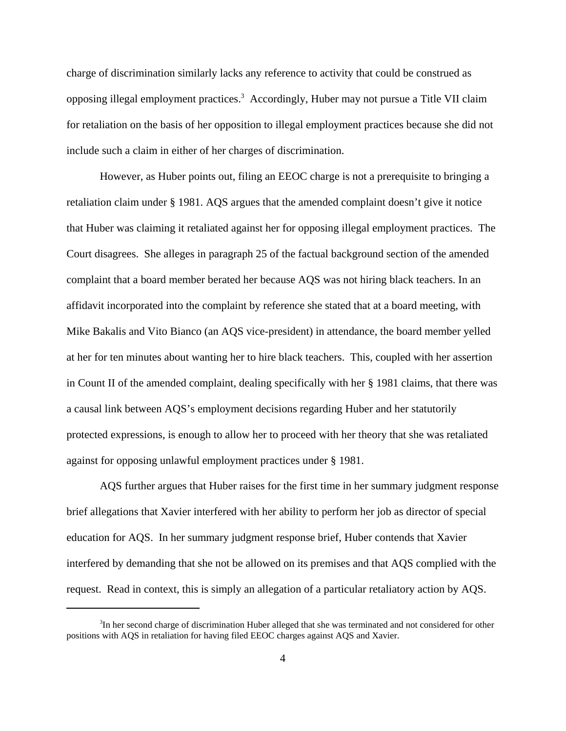charge of discrimination similarly lacks any reference to activity that could be construed as opposing illegal employment practices.<sup>3</sup> Accordingly, Huber may not pursue a Title VII claim for retaliation on the basis of her opposition to illegal employment practices because she did not include such a claim in either of her charges of discrimination.

However, as Huber points out, filing an EEOC charge is not a prerequisite to bringing a retaliation claim under § 1981. AQS argues that the amended complaint doesn't give it notice that Huber was claiming it retaliated against her for opposing illegal employment practices. The Court disagrees. She alleges in paragraph 25 of the factual background section of the amended complaint that a board member berated her because AQS was not hiring black teachers. In an affidavit incorporated into the complaint by reference she stated that at a board meeting, with Mike Bakalis and Vito Bianco (an AQS vice-president) in attendance, the board member yelled at her for ten minutes about wanting her to hire black teachers. This, coupled with her assertion in Count II of the amended complaint, dealing specifically with her § 1981 claims, that there was a causal link between AQS's employment decisions regarding Huber and her statutorily protected expressions, is enough to allow her to proceed with her theory that she was retaliated against for opposing unlawful employment practices under § 1981.

AQS further argues that Huber raises for the first time in her summary judgment response brief allegations that Xavier interfered with her ability to perform her job as director of special education for AQS. In her summary judgment response brief, Huber contends that Xavier interfered by demanding that she not be allowed on its premises and that AQS complied with the request. Read in context, this is simply an allegation of a particular retaliatory action by AQS.

<sup>&</sup>lt;sup>3</sup>In her second charge of discrimination Huber alleged that she was terminated and not considered for other positions with AQS in retaliation for having filed EEOC charges against AQS and Xavier.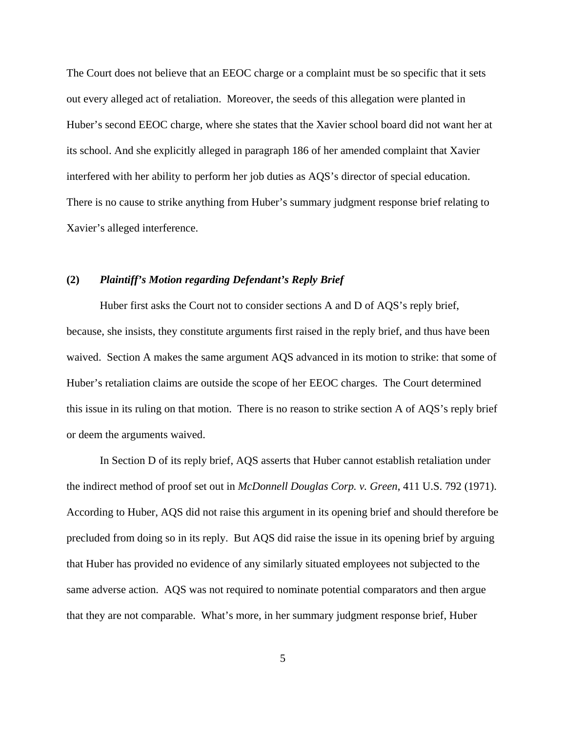The Court does not believe that an EEOC charge or a complaint must be so specific that it sets out every alleged act of retaliation. Moreover, the seeds of this allegation were planted in Huber's second EEOC charge, where she states that the Xavier school board did not want her at its school. And she explicitly alleged in paragraph 186 of her amended complaint that Xavier interfered with her ability to perform her job duties as AQS's director of special education. There is no cause to strike anything from Huber's summary judgment response brief relating to Xavier's alleged interference.

# **(2)** *Plaintiff's Motion regarding Defendant's Reply Brief*

Huber first asks the Court not to consider sections A and D of AQS's reply brief, because, she insists, they constitute arguments first raised in the reply brief, and thus have been waived. Section A makes the same argument AQS advanced in its motion to strike: that some of Huber's retaliation claims are outside the scope of her EEOC charges. The Court determined this issue in its ruling on that motion. There is no reason to strike section A of AQS's reply brief or deem the arguments waived.

In Section D of its reply brief, AQS asserts that Huber cannot establish retaliation under the indirect method of proof set out in *McDonnell Douglas Corp. v. Green*, 411 U.S. 792 (1971). According to Huber, AQS did not raise this argument in its opening brief and should therefore be precluded from doing so in its reply. But AQS did raise the issue in its opening brief by arguing that Huber has provided no evidence of any similarly situated employees not subjected to the same adverse action. AQS was not required to nominate potential comparators and then argue that they are not comparable. What's more, in her summary judgment response brief, Huber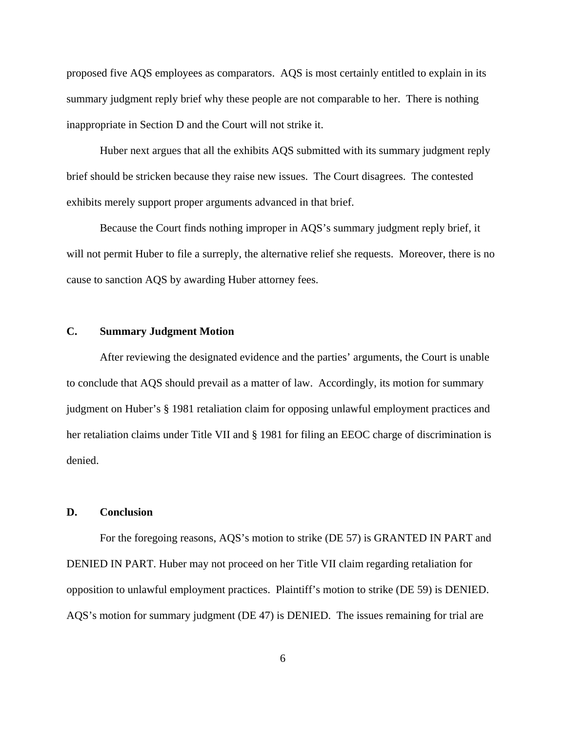proposed five AQS employees as comparators. AQS is most certainly entitled to explain in its summary judgment reply brief why these people are not comparable to her. There is nothing inappropriate in Section D and the Court will not strike it.

Huber next argues that all the exhibits AQS submitted with its summary judgment reply brief should be stricken because they raise new issues. The Court disagrees. The contested exhibits merely support proper arguments advanced in that brief.

Because the Court finds nothing improper in AQS's summary judgment reply brief, it will not permit Huber to file a surreply, the alternative relief she requests. Moreover, there is no cause to sanction AQS by awarding Huber attorney fees.

# **C. Summary Judgment Motion**

After reviewing the designated evidence and the parties' arguments, the Court is unable to conclude that AQS should prevail as a matter of law. Accordingly, its motion for summary judgment on Huber's § 1981 retaliation claim for opposing unlawful employment practices and her retaliation claims under Title VII and § 1981 for filing an EEOC charge of discrimination is denied.

### **D. Conclusion**

For the foregoing reasons, AQS's motion to strike (DE 57) is GRANTED IN PART and DENIED IN PART. Huber may not proceed on her Title VII claim regarding retaliation for opposition to unlawful employment practices. Plaintiff's motion to strike (DE 59) is DENIED. AQS's motion for summary judgment (DE 47) is DENIED. The issues remaining for trial are

6